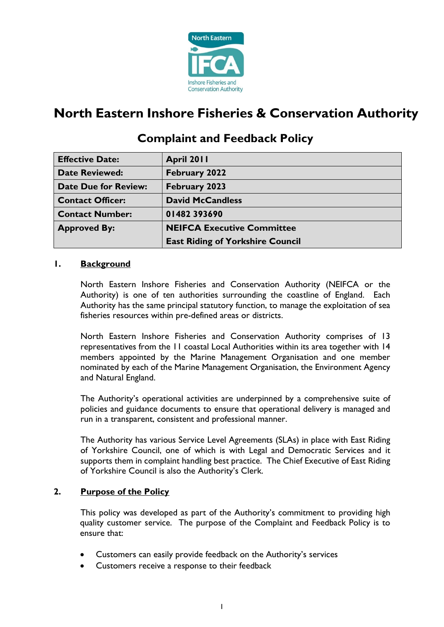

# **North Eastern Inshore Fisheries & Conservation Authority**

| <b>Effective Date:</b>      | April 2011                              |
|-----------------------------|-----------------------------------------|
| <b>Date Reviewed:</b>       | <b>February 2022</b>                    |
| <b>Date Due for Review:</b> | <b>February 2023</b>                    |
| <b>Contact Officer:</b>     | <b>David McCandless</b>                 |
| <b>Contact Number:</b>      | 01482393690                             |
| <b>Approved By:</b>         | <b>NEIFCA Executive Committee</b>       |
|                             | <b>East Riding of Yorkshire Council</b> |

# **Complaint and Feedback Policy**

# **1. Background**

North Eastern Inshore Fisheries and Conservation Authority (NEIFCA or the Authority) is one of ten authorities surrounding the coastline of England. Each Authority has the same principal statutory function, to manage the exploitation of sea fisheries resources within pre-defined areas or districts.

North Eastern Inshore Fisheries and Conservation Authority comprises of 13 representatives from the 11 coastal Local Authorities within its area together with 14 members appointed by the Marine Management Organisation and one member nominated by each of the Marine Management Organisation, the Environment Agency and Natural England.

The Authority's operational activities are underpinned by a comprehensive suite of policies and guidance documents to ensure that operational delivery is managed and run in a transparent, consistent and professional manner.

The Authority has various Service Level Agreements (SLAs) in place with East Riding of Yorkshire Council, one of which is with Legal and Democratic Services and it supports them in complaint handling best practice. The Chief Executive of East Riding of Yorkshire Council is also the Authority's Clerk.

### **2. Purpose of the Policy**

This policy was developed as part of the Authority's commitment to providing high quality customer service. The purpose of the Complaint and Feedback Policy is to ensure that:

- Customers can easily provide feedback on the Authority's services
- Customers receive a response to their feedback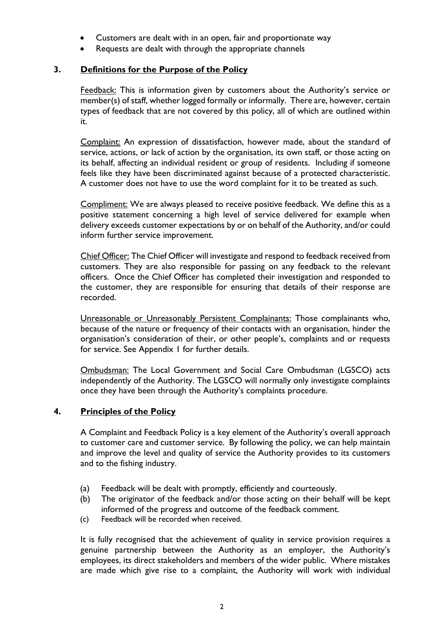- Customers are dealt with in an open, fair and proportionate way
- Requests are dealt with through the appropriate channels

# **3. Definitions for the Purpose of the Policy**

Feedback: This is information given by customers about the Authority's service or member(s) of staff, whether logged formally or informally. There are, however, certain types of feedback that are not covered by this policy, all of which are outlined within it.

Complaint: An expression of dissatisfaction, however made, about the standard of service, actions, or lack of action by the organisation, its own staff, or those acting on its behalf, affecting an individual resident or group of residents. Including if someone feels like they have been discriminated against because of a protected characteristic. A customer does not have to use the word complaint for it to be treated as such.

Compliment: We are always pleased to receive positive feedback. We define this as a positive statement concerning a high level of service delivered for example when delivery exceeds customer expectations by or on behalf of the Authority, and/or could inform further service improvement.

Chief Officer: The Chief Officer will investigate and respond to feedback received from customers. They are also responsible for passing on any feedback to the relevant officers. Once the Chief Officer has completed their investigation and responded to the customer, they are responsible for ensuring that details of their response are recorded.

Unreasonable or Unreasonably Persistent Complainants: Those complainants who, because of the nature or frequency of their contacts with an organisation, hinder the organisation's consideration of their, or other people's, complaints and or requests for service. See Appendix 1 for further details.

Ombudsman: The Local Government and Social Care Ombudsman (LGSCO) acts independently of the Authority. The LGSCO will normally only investigate complaints once they have been through the Authority's complaints procedure.

### **4. Principles of the Policy**

A Complaint and Feedback Policy is a key element of the Authority's overall approach to customer care and customer service. By following the policy, we can help maintain and improve the level and quality of service the Authority provides to its customers and to the fishing industry.

- (a) Feedback will be dealt with promptly, efficiently and courteously.
- (b) The originator of the feedback and/or those acting on their behalf will be kept informed of the progress and outcome of the feedback comment.
- (c) Feedback will be recorded when received.

It is fully recognised that the achievement of quality in service provision requires a genuine partnership between the Authority as an employer, the Authority's employees, its direct stakeholders and members of the wider public. Where mistakes are made which give rise to a complaint, the Authority will work with individual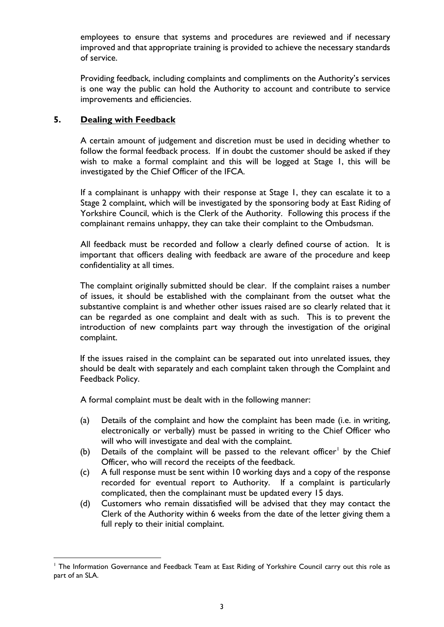employees to ensure that systems and procedures are reviewed and if necessary improved and that appropriate training is provided to achieve the necessary standards of service.

Providing feedback, including complaints and compliments on the Authority's services is one way the public can hold the Authority to account and contribute to service improvements and efficiencies.

### **5. Dealing with Feedback**

A certain amount of judgement and discretion must be used in deciding whether to follow the formal feedback process. If in doubt the customer should be asked if they wish to make a formal complaint and this will be logged at Stage 1, this will be investigated by the Chief Officer of the IFCA.

If a complainant is unhappy with their response at Stage 1, they can escalate it to a Stage 2 complaint, which will be investigated by the sponsoring body at East Riding of Yorkshire Council, which is the Clerk of the Authority. Following this process if the complainant remains unhappy, they can take their complaint to the Ombudsman.

 All feedback must be recorded and follow a clearly defined course of action. It is important that officers dealing with feedback are aware of the procedure and keep confidentiality at all times.

The complaint originally submitted should be clear. If the complaint raises a number of issues, it should be established with the complainant from the outset what the substantive complaint is and whether other issues raised are so clearly related that it can be regarded as one complaint and dealt with as such. This is to prevent the introduction of new complaints part way through the investigation of the original complaint.

If the issues raised in the complaint can be separated out into unrelated issues, they should be dealt with separately and each complaint taken through the Complaint and Feedback Policy.

A formal complaint must be dealt with in the following manner:

- (a) Details of the complaint and how the complaint has been made (i.e. in writing, electronically or verbally) must be passed in writing to the Chief Officer who will who will investigate and deal with the complaint.
- (b) Details of the complaint will be passed to the relevant officer<sup>[1](#page-2-0)</sup> by the Chief Officer, who will record the receipts of the feedback.
- (c) A full response must be sent within 10 working days and a copy of the response recorded for eventual report to Authority. If a complaint is particularly complicated, then the complainant must be updated every 15 days.
- (d) Customers who remain dissatisfied will be advised that they may contact the Clerk of the Authority within 6 weeks from the date of the letter giving them a full reply to their initial complaint.

<span id="page-2-0"></span><sup>&</sup>lt;sup>1</sup> The Information Governance and Feedback Team at East Riding of Yorkshire Council carry out this role as part of an SLA.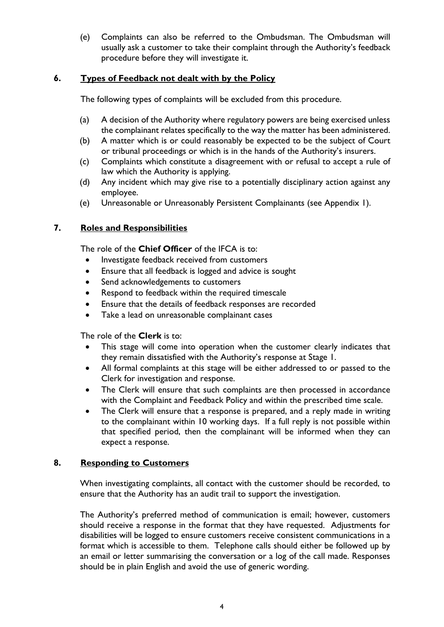(e) Complaints can also be referred to the Ombudsman. The Ombudsman will usually ask a customer to take their complaint through the Authority's feedback procedure before they will investigate it.

### **6. Types of Feedback not dealt with by the Policy**

The following types of complaints will be excluded from this procedure.

- (a) A decision of the Authority where regulatory powers are being exercised unless the complainant relates specifically to the way the matter has been administered.
- (b) A matter which is or could reasonably be expected to be the subject of Court or tribunal proceedings or which is in the hands of the Authority's insurers.
- (c) Complaints which constitute a disagreement with or refusal to accept a rule of law which the Authority is applying.
- (d) Any incident which may give rise to a potentially disciplinary action against any employee.
- (e) Unreasonable or Unreasonably Persistent Complainants (see Appendix 1).

### **7. Roles and Responsibilities**

The role of the **Chief Officer** of the IFCA is to:

- Investigate feedback received from customers
- Ensure that all feedback is logged and advice is sought
- Send acknowledgements to customers
- Respond to feedback within the required timescale
- Ensure that the details of feedback responses are recorded
- Take a lead on unreasonable complainant cases

The role of the **Clerk** is to:

- This stage will come into operation when the customer clearly indicates that they remain dissatisfied with the Authority's response at Stage 1.
- All formal complaints at this stage will be either addressed to or passed to the Clerk for investigation and response.
- The Clerk will ensure that such complaints are then processed in accordance with the Complaint and Feedback Policy and within the prescribed time scale.
- The Clerk will ensure that a response is prepared, and a reply made in writing to the complainant within 10 working days. If a full reply is not possible within that specified period, then the complainant will be informed when they can expect a response.

### **8. Responding to Customers**

When investigating complaints, all contact with the customer should be recorded, to ensure that the Authority has an audit trail to support the investigation.

The Authority's preferred method of communication is email; however, customers should receive a response in the format that they have requested. Adjustments for disabilities will be logged to ensure customers receive consistent communications in a format which is accessible to them. Telephone calls should either be followed up by an email or letter summarising the conversation or a log of the call made. Responses should be in plain English and avoid the use of generic wording.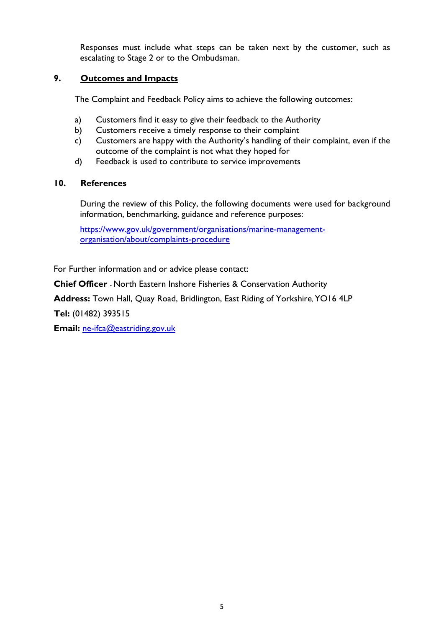Responses must include what steps can be taken next by the customer, such as escalating to Stage 2 or to the Ombudsman.

# **9. Outcomes and Impacts**

The Complaint and Feedback Policy aims to achieve the following outcomes:

- a) Customers find it easy to give their feedback to the Authority
- b) Customers receive a timely response to their complaint
- c) Customers are happy with the Authority's handling of their complaint, even if the outcome of the complaint is not what they hoped for
- d) Feedback is used to contribute to service improvements

# **10. References**

During the review of this Policy, the following documents were used for background information, benchmarking, guidance and reference purposes:

[https://www.gov.uk/government/organisations/marine-management](https://www.gov.uk/government/organisations/marine-management-organisation/about/complaints-procedure)[organisation/about/complaints-procedure](https://www.gov.uk/government/organisations/marine-management-organisation/about/complaints-procedure)

For Further information and or advice please contact:

**Chief Officer** - North Eastern Inshore Fisheries & Conservation Authority

**Address:** Town Hall, Quay Road, Bridlington, East Riding of Yorkshire, YO16 4LP

**Tel:** (01482) 393515

**Email:** [ne-ifca@eastriding.gov.uk](mailto:ne-ifca@eastriding.gov.uk)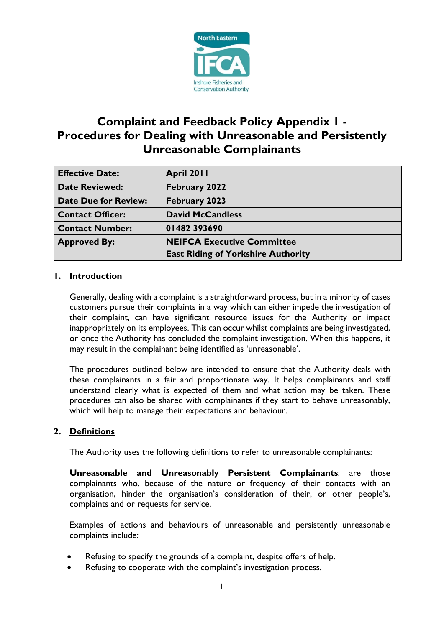

# **Complaint and Feedback Policy Appendix 1 - Procedures for Dealing with Unreasonable and Persistently Unreasonable Complainants**

| <b>Effective Date:</b>      | April 2011                                |
|-----------------------------|-------------------------------------------|
| <b>Date Reviewed:</b>       | February 2022                             |
| <b>Date Due for Review:</b> | <b>February 2023</b>                      |
| <b>Contact Officer:</b>     | <b>David McCandless</b>                   |
| <b>Contact Number:</b>      | 01482393690                               |
| <b>Approved By:</b>         | <b>NEIFCA Executive Committee</b>         |
|                             | <b>East Riding of Yorkshire Authority</b> |

# **1. Introduction**

Generally, dealing with a complaint is a straightforward process, but in a minority of cases customers pursue their complaints in a way which can either impede the investigation of their complaint, can have significant resource issues for the Authority or impact inappropriately on its employees. This can occur whilst complaints are being investigated, or once the Authority has concluded the complaint investigation. When this happens, it may result in the complainant being identified as 'unreasonable'.

The procedures outlined below are intended to ensure that the Authority deals with these complainants in a fair and proportionate way. It helps complainants and staff understand clearly what is expected of them and what action may be taken. These procedures can also be shared with complainants if they start to behave unreasonably, which will help to manage their expectations and behaviour.

### **2. Definitions**

The Authority uses the following definitions to refer to unreasonable complainants:

**Unreasonable and Unreasonably Persistent Complainants**: are those complainants who, because of the nature or frequency of their contacts with an organisation, hinder the organisation's consideration of their, or other people's, complaints and or requests for service.

Examples of actions and behaviours of unreasonable and persistently unreasonable complaints include:

- Refusing to specify the grounds of a complaint, despite offers of help.
- Refusing to cooperate with the complaint's investigation process.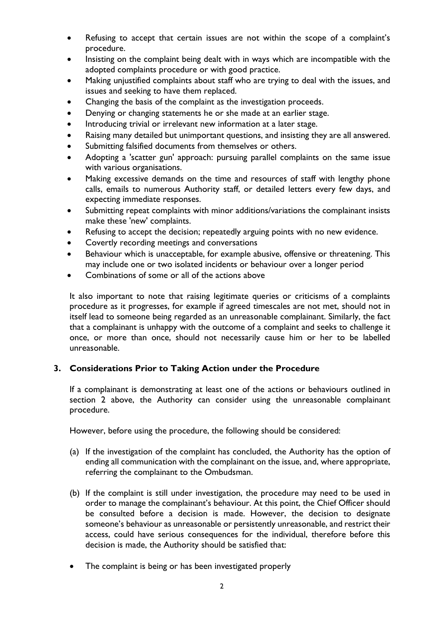- Refusing to accept that certain issues are not within the scope of a complaint's procedure.
- Insisting on the complaint being dealt with in ways which are incompatible with the adopted complaints procedure or with good practice.
- Making unjustified complaints about staff who are trying to deal with the issues, and issues and seeking to have them replaced.
- Changing the basis of the complaint as the investigation proceeds.
- Denying or changing statements he or she made at an earlier stage.
- Introducing trivial or irrelevant new information at a later stage.
- Raising many detailed but unimportant questions, and insisting they are all answered.
- Submitting falsified documents from themselves or others.
- Adopting a 'scatter gun' approach: pursuing parallel complaints on the same issue with various organisations.
- Making excessive demands on the time and resources of staff with lengthy phone calls, emails to numerous Authority staff, or detailed letters every few days, and expecting immediate responses.
- Submitting repeat complaints with minor additions/variations the complainant insists make these 'new' complaints.
- Refusing to accept the decision; repeatedly arguing points with no new evidence.
- Covertly recording meetings and conversations
- Behaviour which is unacceptable, for example abusive, offensive or threatening. This may include one or two isolated incidents or behaviour over a longer period
- Combinations of some or all of the actions above

It also important to note that raising legitimate queries or criticisms of a complaints procedure as it progresses, for example if agreed timescales are not met, should not in itself lead to someone being regarded as an unreasonable complainant. Similarly, the fact that a complainant is unhappy with the outcome of a complaint and seeks to challenge it once, or more than once, should not necessarily cause him or her to be labelled unreasonable.

### **3. Considerations Prior to Taking Action under the Procedure**

If a complainant is demonstrating at least one of the actions or behaviours outlined in section 2 above, the Authority can consider using the unreasonable complainant procedure.

However, before using the procedure, the following should be considered:

- (a) If the investigation of the complaint has concluded, the Authority has the option of ending all communication with the complainant on the issue, and, where appropriate, referring the complainant to the Ombudsman.
- (b) If the complaint is still under investigation, the procedure may need to be used in order to manage the complainant's behaviour. At this point, the Chief Officer should be consulted before a decision is made. However, the decision to designate someone's behaviour as unreasonable or persistently unreasonable, and restrict their access, could have serious consequences for the individual, therefore before this decision is made, the Authority should be satisfied that:
- The complaint is being or has been investigated properly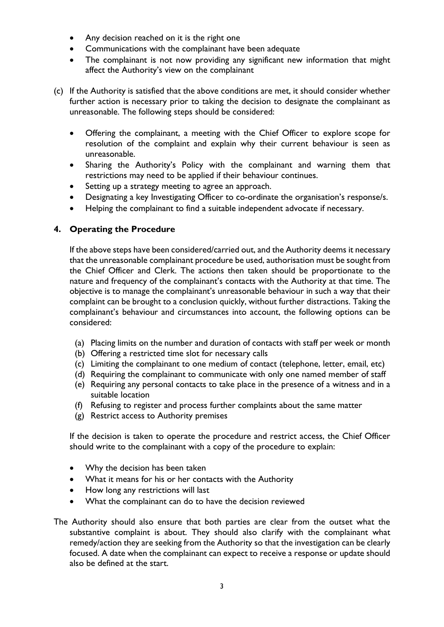- Any decision reached on it is the right one
- Communications with the complainant have been adequate
- The complainant is not now providing any significant new information that might affect the Authority's view on the complainant
- (c) If the Authority is satisfied that the above conditions are met, it should consider whether further action is necessary prior to taking the decision to designate the complainant as unreasonable. The following steps should be considered:
	- Offering the complainant, a meeting with the Chief Officer to explore scope for resolution of the complaint and explain why their current behaviour is seen as unreasonable.
	- Sharing the Authority's Policy with the complainant and warning them that restrictions may need to be applied if their behaviour continues.
	- Setting up a strategy meeting to agree an approach.
	- Designating a key Investigating Officer to co-ordinate the organisation's response/s.
	- Helping the complainant to find a suitable independent advocate if necessary.

# **4. Operating the Procedure**

If the above steps have been considered/carried out, and the Authority deems it necessary that the unreasonable complainant procedure be used, authorisation must be sought from the Chief Officer and Clerk. The actions then taken should be proportionate to the nature and frequency of the complainant's contacts with the Authority at that time. The objective is to manage the complainant's unreasonable behaviour in such a way that their complaint can be brought to a conclusion quickly, without further distractions. Taking the complainant's behaviour and circumstances into account, the following options can be considered:

- (a) Placing limits on the number and duration of contacts with staff per week or month
- (b) Offering a restricted time slot for necessary calls
- (c) Limiting the complainant to one medium of contact (telephone, letter, email, etc)
- (d) Requiring the complainant to communicate with only one named member of staff
- (e) Requiring any personal contacts to take place in the presence of a witness and in a suitable location
- (f) Refusing to register and process further complaints about the same matter
- (g) Restrict access to Authority premises

If the decision is taken to operate the procedure and restrict access, the Chief Officer should write to the complainant with a copy of the procedure to explain:

- Why the decision has been taken
- What it means for his or her contacts with the Authority
- How long any restrictions will last
- What the complainant can do to have the decision reviewed
- The Authority should also ensure that both parties are clear from the outset what the substantive complaint is about. They should also clarify with the complainant what remedy/action they are seeking from the Authority so that the investigation can be clearly focused. A date when the complainant can expect to receive a response or update should also be defined at the start.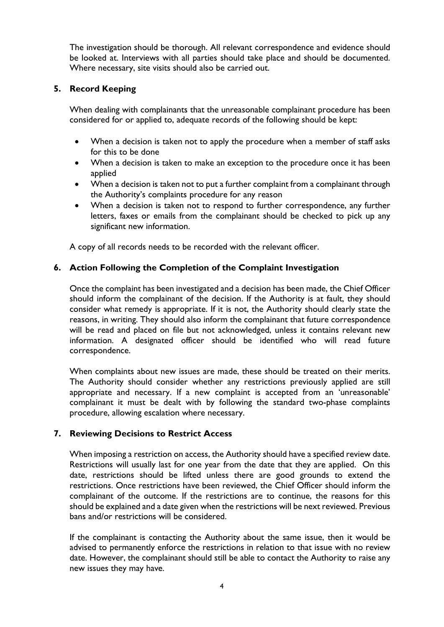The investigation should be thorough. All relevant correspondence and evidence should be looked at. Interviews with all parties should take place and should be documented. Where necessary, site visits should also be carried out.

#### **5. Record Keeping**

When dealing with complainants that the unreasonable complainant procedure has been considered for or applied to, adequate records of the following should be kept:

- When a decision is taken not to apply the procedure when a member of staff asks for this to be done
- When a decision is taken to make an exception to the procedure once it has been applied
- When a decision is taken not to put a further complaint from a complainant through the Authority's complaints procedure for any reason
- When a decision is taken not to respond to further correspondence, any further letters, faxes or emails from the complainant should be checked to pick up any significant new information.

A copy of all records needs to be recorded with the relevant officer.

# **6. Action Following the Completion of the Complaint Investigation**

Once the complaint has been investigated and a decision has been made, the Chief Officer should inform the complainant of the decision. If the Authority is at fault, they should consider what remedy is appropriate. If it is not, the Authority should clearly state the reasons, in writing. They should also inform the complainant that future correspondence will be read and placed on file but not acknowledged, unless it contains relevant new information. A designated officer should be identified who will read future correspondence.

When complaints about new issues are made, these should be treated on their merits. The Authority should consider whether any restrictions previously applied are still appropriate and necessary. If a new complaint is accepted from an 'unreasonable' complainant it must be dealt with by following the standard two-phase complaints procedure, allowing escalation where necessary.

### **7. Reviewing Decisions to Restrict Access**

When imposing a restriction on access, the Authority should have a specified review date. Restrictions will usually last for one year from the date that they are applied. On this date, restrictions should be lifted unless there are good grounds to extend the restrictions. Once restrictions have been reviewed, the Chief Officer should inform the complainant of the outcome. If the restrictions are to continue, the reasons for this should be explained and a date given when the restrictions will be next reviewed. Previous bans and/or restrictions will be considered.

If the complainant is contacting the Authority about the same issue, then it would be advised to permanently enforce the restrictions in relation to that issue with no review date. However, the complainant should still be able to contact the Authority to raise any new issues they may have.